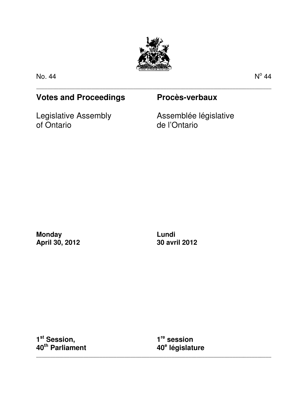

\_\_\_\_\_\_\_\_\_\_\_\_\_\_\_\_\_\_\_\_\_\_\_\_\_\_\_\_\_\_\_\_\_\_\_\_\_\_\_\_\_\_\_\_\_\_\_\_\_\_\_\_\_\_\_\_\_\_\_\_\_\_\_\_\_\_\_\_\_\_\_\_\_\_\_\_\_\_\_\_\_\_\_\_\_

No. 44 No. 44 No. 45 No. 45 No. 45 No. 45 No. 45 No. 45 No. 45 No. 45 No. 45 No. 45 No. 45 No. 45 No. 45 No. 4

 $^{\circ}$  44

## **Votes and Proceedings Procès-verbaux**

Legislative Assembly of Ontario

Assemblée législative de l'Ontario

**Monday April 30, 2012** 

**Lundi 30 avril 2012** 

**1 st Session, 40th Parliament** 

**1 re session 40<sup>e</sup> législature** 

\_\_\_\_\_\_\_\_\_\_\_\_\_\_\_\_\_\_\_\_\_\_\_\_\_\_\_\_\_\_\_\_\_\_\_\_\_\_\_\_\_\_\_\_\_\_\_\_\_\_\_\_\_\_\_\_\_\_\_\_\_\_\_\_\_\_\_\_\_\_\_\_\_\_\_\_\_\_\_\_\_\_\_\_\_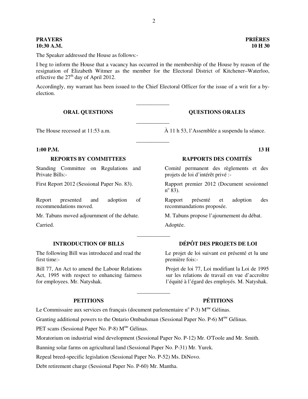# **10:30 A.M. 10 H 30**

The Speaker addressed the House as follows:-

I beg to inform the House that a vacancy has occurred in the membership of the House by reason of the resignation of Elizabeth Witmer as the member for the Electoral District of Kitchener–Waterloo, effective the  $27<sup>th</sup>$  day of April 2012.

Accordingly, my warrant has been issued to the Chief Electoral Officer for the issue of a writ for a byelection.

\_\_\_\_\_\_\_\_\_\_\_\_

\_\_\_\_\_\_\_\_\_\_\_\_

\_\_\_\_\_\_\_\_\_\_\_\_

\_\_\_\_\_\_\_\_\_\_\_\_

\_\_\_\_\_\_\_\_\_\_\_\_

**ORAL QUESTIONS COUNTING ORAL OUTSTIONS ORALES** 

The House recessed at 11:53 a.m.  $\hat{A}$  11 h 53, l'Assemblée a suspendu la séance.

### **1:00 P.M. 13 H**

### REPORTS BY COMMITTEES RAPPORTS DES COMITÉS

Standing Committee on Regulations and Private Bills:-

Report presented and adoption of recommendations moved.

Mr. Tabuns moved adjournment of the debate. M. Tabuns propose l'ajournement du débat.

The following Bill was introduced and read the first time:-

Bill 77, An Act to amend the Labour Relations Act, 1995 with respect to enhancing fairness for employees. Mr. Natyshak.

Comité permanent des règlements et des projets de loi d'intérêt privé :-

First Report 2012 (Sessional Paper No. 83). Rapport premier 2012 (Document sessionnel  $n^{\circ}$   $\overline{83}$ ).

> Rapport présenté et adoption des recommandations proposée.

Carried. Adoptée.

### **INTRODUCTION OF BILLS DÉPÔT DES PROJETS DE LOI**

Le projet de loi suivant est présenté et lu une première fois:-

Projet de loi 77, Loi modifiant la Loi de 1995 sur les relations de travail en vue d'accroître l'équité à l'égard des employés. M. Natyshak.

### **PETITIONS PÉTITIONS**

Le Commissaire aux services en français (document parlementaire n° P-3)  $M^{me}$  Gélinas.

Granting additional powers to the Ontario Ombudsman (Sessional Paper No. P-6)  $M^{me}$  Gélinas.

PET scans (Sessional Paper No. P-8) M<sup>me</sup> Gélinas.

Moratorium on industrial wind development (Sessional Paper No. P-12) Mr. O'Toole and Mr. Smith.

Banning solar farms on agricultural land (Sessional Paper No. P-31) Mr. Yurek.

Repeal breed-specific legislation (Sessional Paper No. P-52) Ms. DiNovo.

Debt retirement charge (Sessional Paper No. P-60) Mr. Mantha.